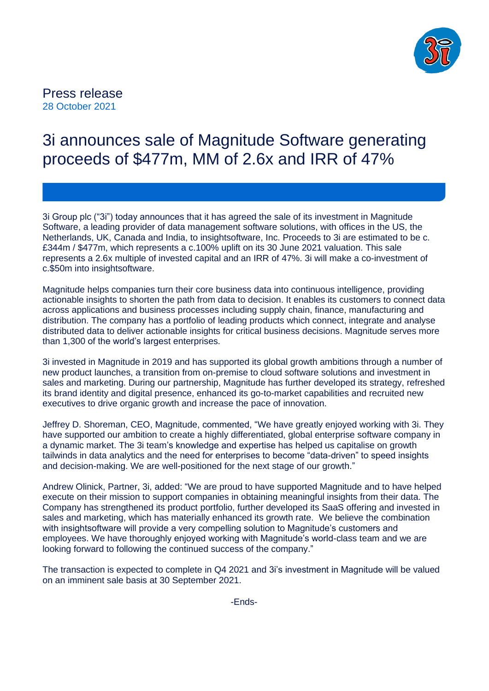

# Press release 28 October 2021

# 3i announces sale of Magnitude Software generating proceeds of \$477m, MM of 2.6x and IRR of 47%

3i Group plc ("3i") today announces that it has agreed the sale of its investment in Magnitude Software, a leading provider of data management software solutions, with offices in the US, the Netherlands, UK, Canada and India, to insightsoftware, Inc. Proceeds to 3i are estimated to be c. £344m / \$477m, which represents a c.100% uplift on its 30 June 2021 valuation. This sale represents a 2.6x multiple of invested capital and an IRR of 47%. 3i will make a co-investment of c.\$50m into insightsoftware.

Magnitude helps companies turn their core business data into continuous intelligence, providing actionable insights to shorten the path from data to decision. It enables its customers to connect data across applications and business processes including supply chain, finance, manufacturing and distribution. The company has a portfolio of leading products which connect, integrate and analyse distributed data to deliver actionable insights for critical business decisions. Magnitude serves more than 1,300 of the world's largest enterprises.

3i invested in Magnitude in 2019 and has supported its global growth ambitions through a number of new product launches, a transition from on-premise to cloud software solutions and investment in sales and marketing. During our partnership, Magnitude has further developed its strategy, refreshed its brand identity and digital presence, enhanced its go-to-market capabilities and recruited new executives to drive organic growth and increase the pace of innovation.

Jeffrey D. Shoreman, CEO, Magnitude, commented, "We have greatly enjoyed working with 3i. They have supported our ambition to create a highly differentiated, global enterprise software company in a dynamic market. The 3i team's knowledge and expertise has helped us capitalise on growth tailwinds in data analytics and the need for enterprises to become "data-driven" to speed insights and decision-making. We are well-positioned for the next stage of our growth."

Andrew Olinick, Partner, 3i, added: "We are proud to have supported Magnitude and to have helped execute on their mission to support companies in obtaining meaningful insights from their data. The Company has strengthened its product portfolio, further developed its SaaS offering and invested in sales and marketing, which has materially enhanced its growth rate. We believe the combination with insightsoftware will provide a very compelling solution to Magnitude's customers and employees. We have thoroughly enjoyed working with Magnitude's world-class team and we are looking forward to following the continued success of the company."

The transaction is expected to complete in Q4 2021 and 3i's investment in Magnitude will be valued on an imminent sale basis at 30 September 2021.